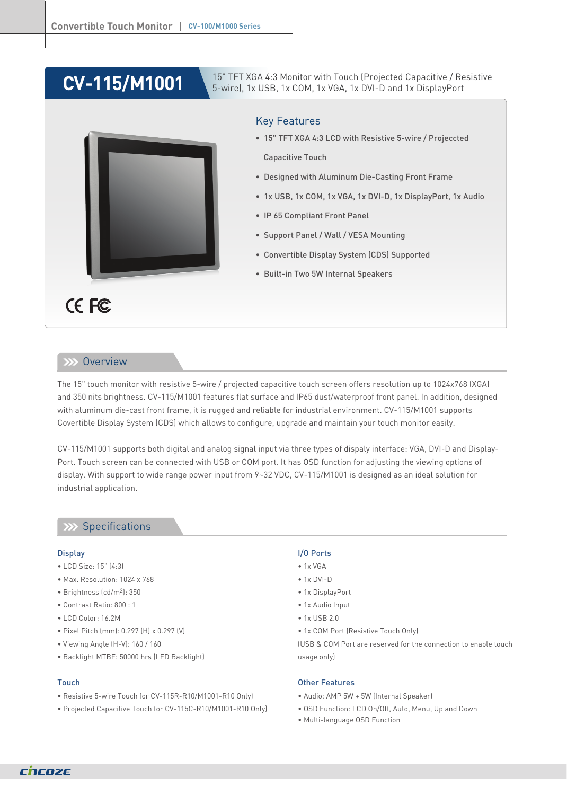## **CV-115/M1001**

CE FC

#### **XXX** Overview

The 15" touch monitor with resistive 5-wire / projected capacitive touch screen offers resolution up to 1024x768 (XGA) and 350 nits brightness. CV-115/M1001 features flat surface and IP65 dust/waterproof front panel. In addition, designed with aluminum die-cast front frame, it is rugged and reliable for industrial environment. CV-115/M1001 supports Covertible Display System (CDS) which allows to configure, upgrade and maintain your touch monitor easily.

Key Features

Capacitive Touch

• IP 65 Compliant Front Panel

• Support Panel / Wall / VESA Mounting

• Built-in Two 5W Internal Speakers

• Convertible Display System (CDS) Supported

15" TFT XGA 4:3 Monitor with Touch (Projected Capacitive / Resistive 5-wire), 1x USB, 1x COM, 1x VGA, 1x DVI-D and 1x DisplayPort

• 15" TFT XGA 4:3 LCD with Resistive 5-wire / Projeccted

• Designed with Aluminum Die-Casting Front Frame

• 1x USB, 1x COM, 1x VGA, 1x DVI-D, 1x DisplayPort, 1x Audio

CV-115/M1001 supports both digital and analog signal input via three types of dispaly interface: VGA, DVI-D and Display-Port. Touch screen can be connected with USB or COM port. It has OSD function for adjusting the viewing options of display. With support to wide range power input from 9~32 VDC, CV-115/M1001 is designed as an ideal solution for industrial application.

#### **XX** Specifications

#### **Display**

- LCD Size: 15" (4:3)
- Max. Resolution: 1024 x 768
- Brightness (cd/m2): 350
- Contrast Ratio: 800 : 1
- LCD Color: 16.2M
- Pixel Pitch (mm): 0.297 (H) x 0.297 (V)
- Viewing Angle (H-V): 160 / 160
- Backlight MTBF: 50000 hrs (LED Backlight)

#### Touch

- Resistive 5-wire Touch for CV-115R-R10/M1001-R10 Only)
- Projected Capacitive Touch for CV-115C-R10/M1001-R10 Only)

#### I/O Ports

- $\bullet$  1x VGA
- 1x DVI-D
- 1x DisplayPort
- 1x Audio Input
- 1x USB 2.0
- 1x COM Port (Resistive Touch Only)

(USB & COM Port are reserved for the connection to enable touch usage only)

#### Other Features

- Audio: AMP 5W + 5W (Internal Speaker)
- OSD Function: LCD On/Off, Auto, Menu, Up and Down
- Multi-language OSD Function

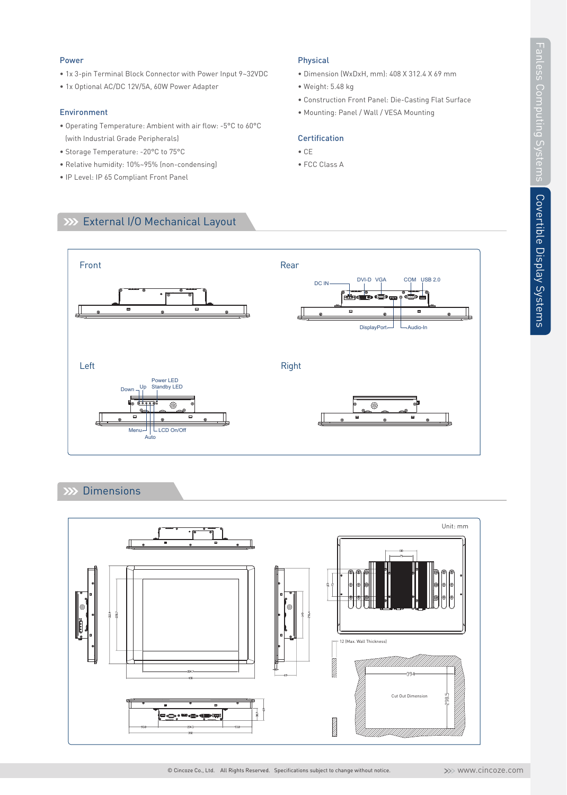# Covertible Display Systems Covertible Display Systems

#### Power

- 1x 3-pin Terminal Block Connector with Power Input 9~32VDC
- 1x Optional AC/DC 12V/5A, 60W Power Adapter

#### Environment

- Operating Temperature: Ambient with air flow: -5°C to 60°C (with Industrial Grade Peripherals)
- Storage Temperature: -20°C to 75°C
- Relative humidity: 10%~95% (non-condensing)
- IP Level: IP 65 Compliant Front Panel

#### Physical

- Dimension (WxDxH, mm): 408 X 312.4 X 69 mm
- Weight: 5.48 kg
- Construction Front Panel: Die-Casting Flat Surface
- Mounting: Panel / Wall / VESA Mounting

#### **Certification**

- CE
- FCC Class A





#### **Dimensions**